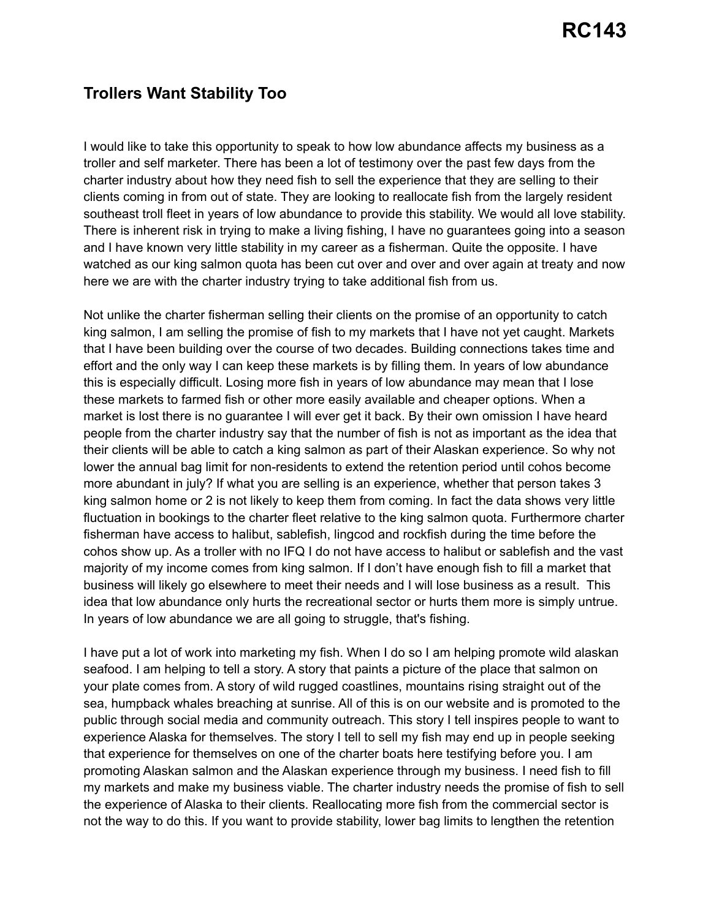## **Trollers Want Stability Too**

I would like to take this opportunity to speak to how low abundance affects my business as a troller and self marketer. There has been a lot of testimony over the past few days from the charter industry about how they need fish to sell the experience that they are selling to their clients coming in from out of state. They are looking to reallocate fish from the largely resident southeast troll fleet in years of low abundance to provide this stability. We would all love stability. There is inherent risk in trying to make a living fishing, I have no guarantees going into a season and I have known very little stability in my career as a fisherman. Quite the opposite. I have watched as our king salmon quota has been cut over and over and over again at treaty and now here we are with the charter industry trying to take additional fish from us.

Not unlike the charter fisherman selling their clients on the promise of an opportunity to catch king salmon, I am selling the promise of fish to my markets that I have not yet caught. Markets that I have been building over the course of two decades. Building connections takes time and effort and the only way I can keep these markets is by filling them. In years of low abundance this is especially difficult. Losing more fish in years of low abundance may mean that I lose these markets to farmed fish or other more easily available and cheaper options. When a market is lost there is no guarantee I will ever get it back. By their own omission I have heard people from the charter industry say that the number of fish is not as important as the idea that their clients will be able to catch a king salmon as part of their Alaskan experience. So why not lower the annual bag limit for non-residents to extend the retention period until cohos become more abundant in july? If what you are selling is an experience, whether that person takes 3 king salmon home or 2 is not likely to keep them from coming. In fact the data shows very little fluctuation in bookings to the charter fleet relative to the king salmon quota. Furthermore charter fisherman have access to halibut, sablefish, lingcod and rockfish during the time before the cohos show up. As a troller with no IFQ I do not have access to halibut or sablefish and the vast majority of my income comes from king salmon. If I don't have enough fish to fill a market that business will likely go elsewhere to meet their needs and I will lose business as a result. This idea that low abundance only hurts the recreational sector or hurts them more is simply untrue. In years of low abundance we are all going to struggle, that's fishing.

I have put a lot of work into marketing my fish. When I do so I am helping promote wild alaskan seafood. I am helping to tell a story. A story that paints a picture of the place that salmon on your plate comes from. A story of wild rugged coastlines, mountains rising straight out of the sea, humpback whales breaching at sunrise. All of this is on our website and is promoted to the public through social media and community outreach. This story I tell inspires people to want to experience Alaska for themselves. The story I tell to sell my fish may end up in people seeking that experience for themselves on one of the charter boats here testifying before you. I am promoting Alaskan salmon and the Alaskan experience through my business. I need fish to fill my markets and make my business viable. The charter industry needs the promise of fish to sell the experience of Alaska to their clients. Reallocating more fish from the commercial sector is not the way to do this. If you want to provide stability, lower bag limits to lengthen the retention